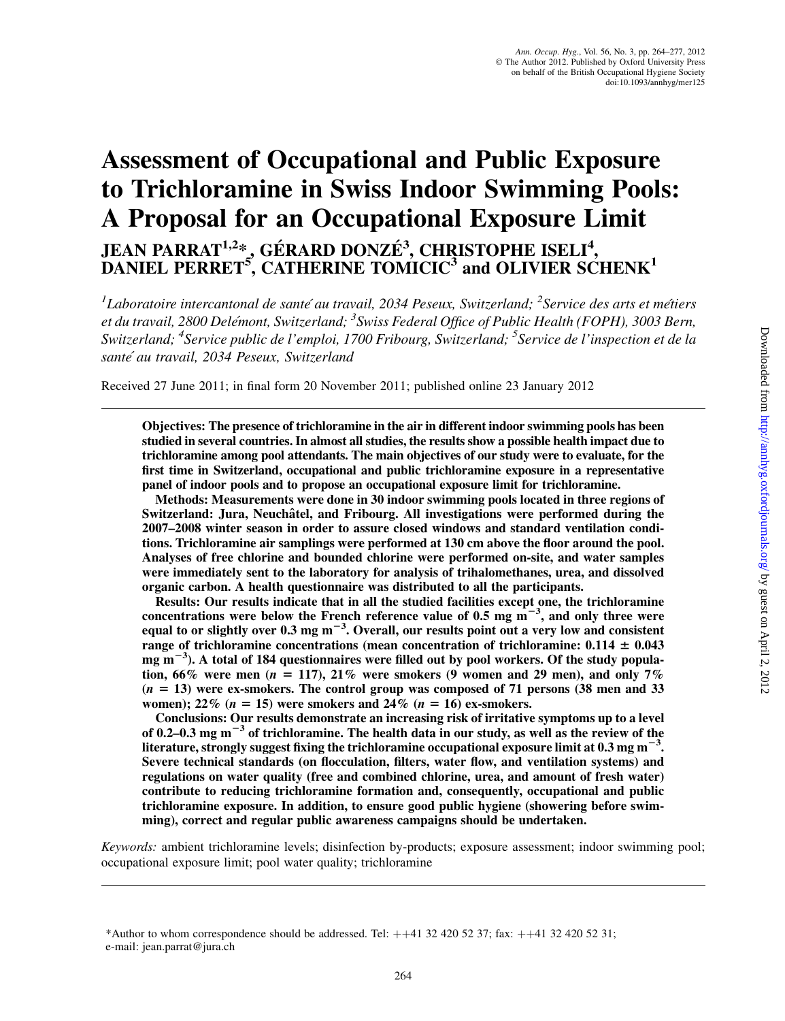# Assessment of Occupational and Public Exposure to Trichloramine in Swiss Indoor Swimming Pools: A Proposal for an Occupational Exposure Limit JEAN PARRAT<sup>1,2</sup>\*, GÉRARD DONZÉ<sup>3</sup>, CHRISTOPHE ISELI<sup>4</sup>, DANIEL PERRET<sup>5</sup>, CATHERINE TOMICIC<sup>3</sup> and OLIVIER SCHENK<sup>1</sup>

<sup>1</sup>Laboratoire intercantonal de santé au travail, 2034 Peseux, Switzerland; <sup>2</sup>Service des arts et métiers et du travail, 2800 Delémont, Switzerland; <sup>3</sup>Swiss Federal Office of Public Health (FOPH), 3003 Bern, Switzerland; <sup>4</sup>Service public de l'emploi, 1700 Fribourg, Switzerland; <sup>5</sup>Service de l'inspection et de la santé au travail, 2034 Peseux, Switzerland

Received 27 June 2011; in final form 20 November 2011; published online 23 January 2012

Objectives: The presence of trichloramine in the air in different indoor swimming pools has been studied in several countries. In almost all studies, the results show a possible health impact due to trichloramine among pool attendants. The main objectives of our study were to evaluate, for the first time in Switzerland, occupational and public trichloramine exposure in a representative panel of indoor pools and to propose an occupational exposure limit for trichloramine.

Methods: Measurements were done in 30 indoor swimming pools located in three regions of Switzerland: Jura, Neuchâtel, and Fribourg. All investigations were performed during the 2007–2008 winter season in order to assure closed windows and standard ventilation conditions. Trichloramine air samplings were performed at 130 cm above the floor around the pool. Analyses of free chlorine and bounded chlorine were performed on-site, and water samples were immediately sent to the laboratory for analysis of trihalomethanes, urea, and dissolved organic carbon. A health questionnaire was distributed to all the participants.

Results: Our results indicate that in all the studied facilities except one, the trichloramine concentrations were below the French reference value of 0.5 mg  $\text{m}^{-3}$ , and only three were equal to or slightly over 0.3 mg m<sup>-3</sup>. Overall, our results point out a very low and consistent range of trichloramine concentrations (mean concentration of trichloramine:  $0.114 \pm 0.043$ mg  $\text{m}^{-3}$ ). A total of 184 questionnaires were filled out by pool workers. Of the study population, 66% were men ( $n = 117$ ), 21% were smokers (9 women and 29 men), and only 7%  $(n = 13)$  were ex-smokers. The control group was composed of 71 persons (38 men and 33 women);  $22\%$  ( $n = 15$ ) were smokers and  $24\%$  ( $n = 16$ ) ex-smokers.

Conclusions: Our results demonstrate an increasing risk of irritative symptoms up to a level of 0.2–0.3 mg  $m^{-3}$  of trichloramine. The health data in our study, as well as the review of the literature, strongly suggest fixing the trichloramine occupational exposure limit at 0.3 mg m $^{\rm -3}.$ Severe technical standards (on flocculation, filters, water flow, and ventilation systems) and regulations on water quality (free and combined chlorine, urea, and amount of fresh water) contribute to reducing trichloramine formation and, consequently, occupational and public trichloramine exposure. In addition, to ensure good public hygiene (showering before swimming), correct and regular public awareness campaigns should be undertaken.

Keywords: ambient trichloramine levels; disinfection by-products; exposure assessment; indoor swimming pool; occupational exposure limit; pool water quality; trichloramine

<sup>\*</sup>Author to whom correspondence should be addressed. Tel:  $+41$  32 420 52 37; fax:  $+41$  32 420 52 31; e-mail: jean.parrat@jura.ch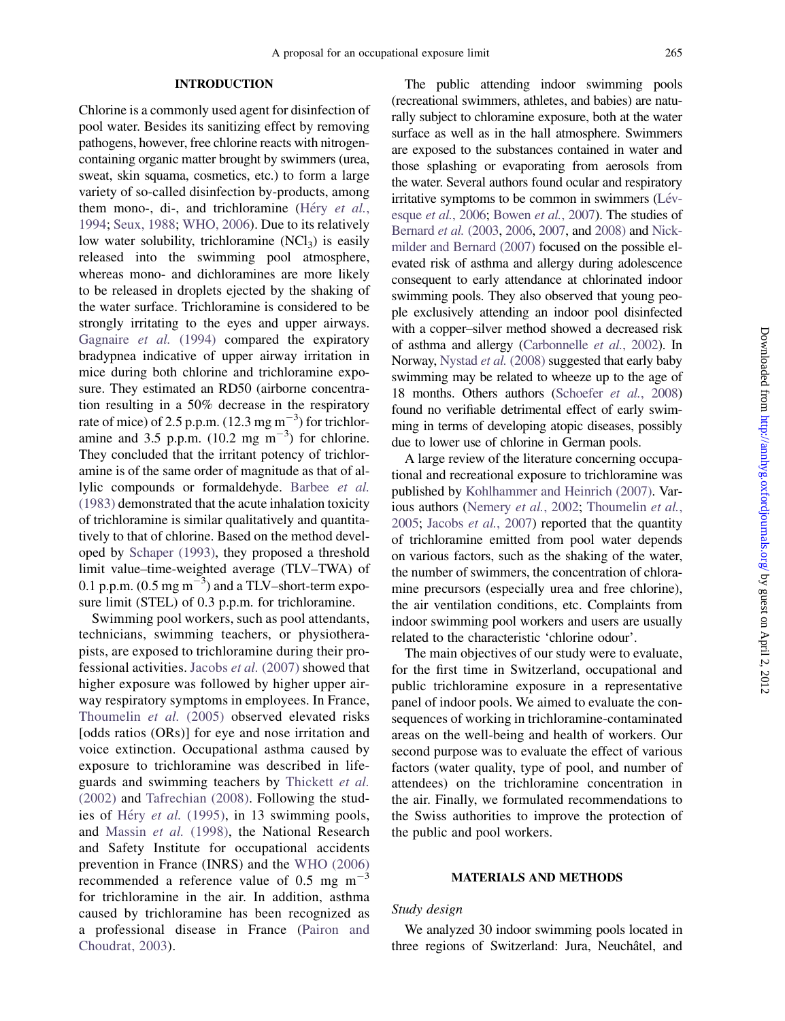# INTRODUCTION

Chlorine is a commonly used agent for disinfection of pool water. Besides its sanitizing effect by removing pathogens, however, free chlorine reacts with nitrogencontaining organic matter brought by swimmers (urea, sweat, skin squama, cosmetics, etc.) to form a large variety of so-called disinfection by-products, among them mono-, di-, and trichloramine (Héry [et al.](#page-12-0), [1994;](#page-12-0) [Seux, 1988;](#page-13-0) [WHO, 2006\)](#page-13-0). Due to its relatively low water solubility, trichloramine  $(NCl<sub>3</sub>)$  is easily released into the swimming pool atmosphere, whereas mono- and dichloramines are more likely to be released in droplets ejected by the shaking of the water surface. Trichloramine is considered to be strongly irritating to the eyes and upper airways. [Gagnaire](#page-12-0) et al. (1994) compared the expiratory bradypnea indicative of upper airway irritation in mice during both chlorine and trichloramine exposure. They estimated an RD50 (airborne concentration resulting in a 50% decrease in the respiratory rate of mice) of 2.5 p.p.m.  $(12.3 \text{ mg m}^{-3})$  for trichloramine and 3.5 p.p.m.  $(10.2 \text{ mg m}^{-3})$  for chlorine. They concluded that the irritant potency of trichloramine is of the same order of magnitude as that of allylic compounds or formaldehyde. [Barbee](#page-12-0) et al. [\(1983\)](#page-12-0) demonstrated that the acute inhalation toxicity of trichloramine is similar qualitatively and quantitatively to that of chlorine. Based on the method developed by [Schaper \(1993\),](#page-12-0) they proposed a threshold limit value–time-weighted average (TLV–TWA) of 0.1 p.p.m.  $(0.5 \text{ mg m}^{-3})$  and a TLV–short-term exposure limit (STEL) of 0.3 p.p.m. for trichloramine.

Swimming pool workers, such as pool attendants, technicians, swimming teachers, or physiotherapists, are exposed to trichloramine during their professional activities. Jacobs et al. [\(2007\)](#page-12-0) showed that higher exposure was followed by higher upper airway respiratory symptoms in employees. In France, [Thoumelin](#page-13-0) et al. (2005) observed elevated risks [odds ratios (ORs)] for eye and nose irritation and voice extinction. Occupational asthma caused by exposure to trichloramine was described in lifeguards and swimming teachers by [Thickett](#page-13-0) et al. [\(2002\)](#page-13-0) and [Tafrechian \(2008\)](#page-13-0). Following the stud-ies of Héry et al. [\(1995\),](#page-12-0) in 13 swimming pools, and [Massin](#page-12-0) et al. (1998), the National Research and Safety Institute for occupational accidents prevention in France (INRS) and the [WHO \(2006\)](#page-13-0) recommended a reference value of 0.5 mg  $m^{-3}$ for trichloramine in the air. In addition, asthma caused by trichloramine has been recognized as a professional disease in France [\(Pairon and](#page-12-0) [Choudrat, 2003](#page-12-0)).

The public attending indoor swimming pools (recreational swimmers, athletes, and babies) are naturally subject to chloramine exposure, both at the water surface as well as in the hall atmosphere. Swimmers are exposed to the substances contained in water and those splashing or evaporating from aerosols from the water. Several authors found ocular and respiratory irritative symptoms to be common in swimmers  $(Lév$ esque et al.[, 2006;](#page-12-0) [Bowen](#page-12-0) et al., 2007). The studies of [Bernard](#page-12-0) et al. (2003, [2006,](#page-12-0) [2007](#page-12-0), and [2008\)](#page-12-0) and [Nick](#page-12-0)[milder and Bernard \(2007\)](#page-12-0) focused on the possible elevated risk of asthma and allergy during adolescence consequent to early attendance at chlorinated indoor swimming pools. They also observed that young people exclusively attending an indoor pool disinfected with a copper–silver method showed a decreased risk of asthma and allergy [\(Carbonnelle](#page-12-0) et al., 2002). In Norway, [Nystad](#page-12-0) et al. (2008) suggested that early baby swimming may be related to wheeze up to the age of 18 months. Others authors ([Schoefer](#page-13-0) et al., 2008) found no verifiable detrimental effect of early swimming in terms of developing atopic diseases, possibly due to lower use of chlorine in German pools.

A large review of the literature concerning occupational and recreational exposure to trichloramine was published by [Kohlhammer and Heinrich \(2007\)](#page-12-0). Var-ious authors [\(Nemery](#page-12-0) et al., 2002; [Thoumelin](#page-13-0) et al., [2005](#page-13-0); [Jacobs](#page-12-0) et al., 2007) reported that the quantity of trichloramine emitted from pool water depends on various factors, such as the shaking of the water, the number of swimmers, the concentration of chloramine precursors (especially urea and free chlorine), the air ventilation conditions, etc. Complaints from indoor swimming pool workers and users are usually related to the characteristic 'chlorine odour'.

The main objectives of our study were to evaluate, for the first time in Switzerland, occupational and public trichloramine exposure in a representative panel of indoor pools. We aimed to evaluate the consequences of working in trichloramine-contaminated areas on the well-being and health of workers. Our second purpose was to evaluate the effect of various factors (water quality, type of pool, and number of attendees) on the trichloramine concentration in the air. Finally, we formulated recommendations to the Swiss authorities to improve the protection of the public and pool workers.

# MATERIALS AND METHODS

# Study design

We analyzed 30 indoor swimming pools located in three regions of Switzerland: Jura, Neuchâtel, and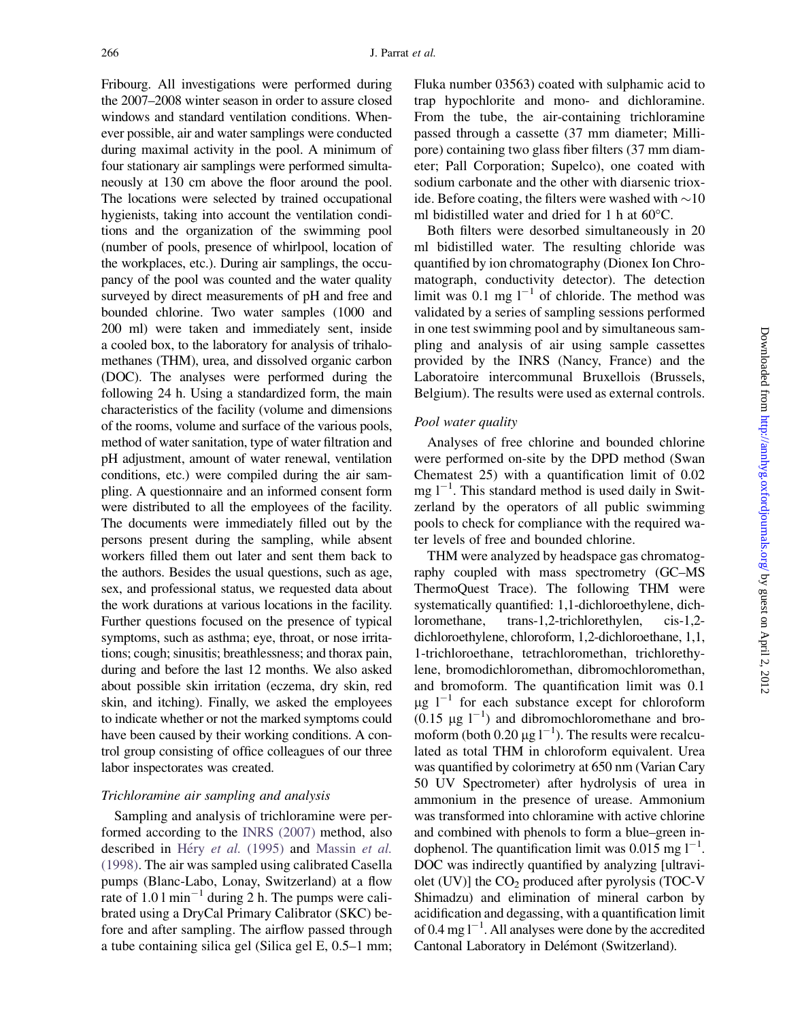Fribourg. All investigations were performed during the 2007–2008 winter season in order to assure closed windows and standard ventilation conditions. Whenever possible, air and water samplings were conducted during maximal activity in the pool. A minimum of four stationary air samplings were performed simultaneously at 130 cm above the floor around the pool. The locations were selected by trained occupational hygienists, taking into account the ventilation conditions and the organization of the swimming pool (number of pools, presence of whirlpool, location of the workplaces, etc.). During air samplings, the occupancy of the pool was counted and the water quality surveyed by direct measurements of pH and free and bounded chlorine. Two water samples (1000 and 200 ml) were taken and immediately sent, inside a cooled box, to the laboratory for analysis of trihalomethanes (THM), urea, and dissolved organic carbon (DOC). The analyses were performed during the following 24 h. Using a standardized form, the main characteristics of the facility (volume and dimensions of the rooms, volume and surface of the various pools, method of water sanitation, type of water filtration and pH adjustment, amount of water renewal, ventilation conditions, etc.) were compiled during the air sampling. A questionnaire and an informed consent form were distributed to all the employees of the facility. The documents were immediately filled out by the persons present during the sampling, while absent workers filled them out later and sent them back to the authors. Besides the usual questions, such as age, sex, and professional status, we requested data about the work durations at various locations in the facility. Further questions focused on the presence of typical symptoms, such as asthma; eye, throat, or nose irritations; cough; sinusitis; breathlessness; and thorax pain, during and before the last 12 months. We also asked about possible skin irritation (eczema, dry skin, red skin, and itching). Finally, we asked the employees to indicate whether or not the marked symptoms could have been caused by their working conditions. A control group consisting of office colleagues of our three labor inspectorates was created.

# Trichloramine air sampling and analysis

Sampling and analysis of trichloramine were performed according to the [INRS \(2007\)](#page-12-0) method, also described in Héry et al. [\(1995\)](#page-12-0) and [Massin](#page-12-0) et al. [\(1998\)](#page-12-0). The air was sampled using calibrated Casella pumps (Blanc-Labo, Lonay, Switzerland) at a flow rate of 1.0 l min<sup>-1</sup> during 2 h. The pumps were calibrated using a DryCal Primary Calibrator (SKC) before and after sampling. The airflow passed through a tube containing silica gel (Silica gel E, 0.5–1 mm; Fluka number 03563) coated with sulphamic acid to trap hypochlorite and mono- and dichloramine. From the tube, the air-containing trichloramine passed through a cassette (37 mm diameter; Millipore) containing two glass fiber filters (37 mm diameter; Pall Corporation; Supelco), one coated with sodium carbonate and the other with diarsenic trioxide. Before coating, the filters were washed with  $\sim$ 10 ml bidistilled water and dried for 1 h at  $60^{\circ}$ C.

Both filters were desorbed simultaneously in 20 ml bidistilled water. The resulting chloride was quantified by ion chromatography (Dionex Ion Chromatograph, conductivity detector). The detection limit was 0.1 mg  $l^{-1}$  of chloride. The method was validated by a series of sampling sessions performed in one test swimming pool and by simultaneous sampling and analysis of air using sample cassettes provided by the INRS (Nancy, France) and the Laboratoire intercommunal Bruxellois (Brussels, Belgium). The results were used as external controls.

# Pool water quality

Analyses of free chlorine and bounded chlorine were performed on-site by the DPD method (Swan Chematest 25) with a quantification limit of 0.02 mg  $1^{-1}$ . This standard method is used daily in Switzerland by the operators of all public swimming pools to check for compliance with the required water levels of free and bounded chlorine.

THM were analyzed by headspace gas chromatography coupled with mass spectrometry (GC–MS ThermoQuest Trace). The following THM were systematically quantified: 1,1-dichloroethylene, dichloromethane, trans-1,2-trichlorethylen, cis-1,2 dichloroethylene, chloroform, 1,2-dichloroethane, 1,1, 1-trichloroethane, tetrachloromethan, trichlorethylene, bromodichloromethan, dibromochloromethan, and bromoform. The quantification limit was 0.1  $\mu$ g l<sup>-1</sup> for each substance except for chloroform  $(0.15 \mu g I^{-1})$  and dibromochloromethane and bromoform (both  $0.20 \mu g l^{-1}$ ). The results were recalculated as total THM in chloroform equivalent. Urea was quantified by colorimetry at 650 nm (Varian Cary 50 UV Spectrometer) after hydrolysis of urea in ammonium in the presence of urease. Ammonium was transformed into chloramine with active chlorine and combined with phenols to form a blue–green indophenol. The quantification limit was  $0.015$  mg  $l^{-1}$ . DOC was indirectly quantified by analyzing [ultraviolet  $(UV)$ ] the  $CO<sub>2</sub>$  produced after pyrolysis (TOC-V Shimadzu) and elimination of mineral carbon by acidification and degassing, with a quantification limit of 0.4 mg  $l^{-1}$ . All analyses were done by the accredited Cantonal Laboratory in Delémont (Switzerland).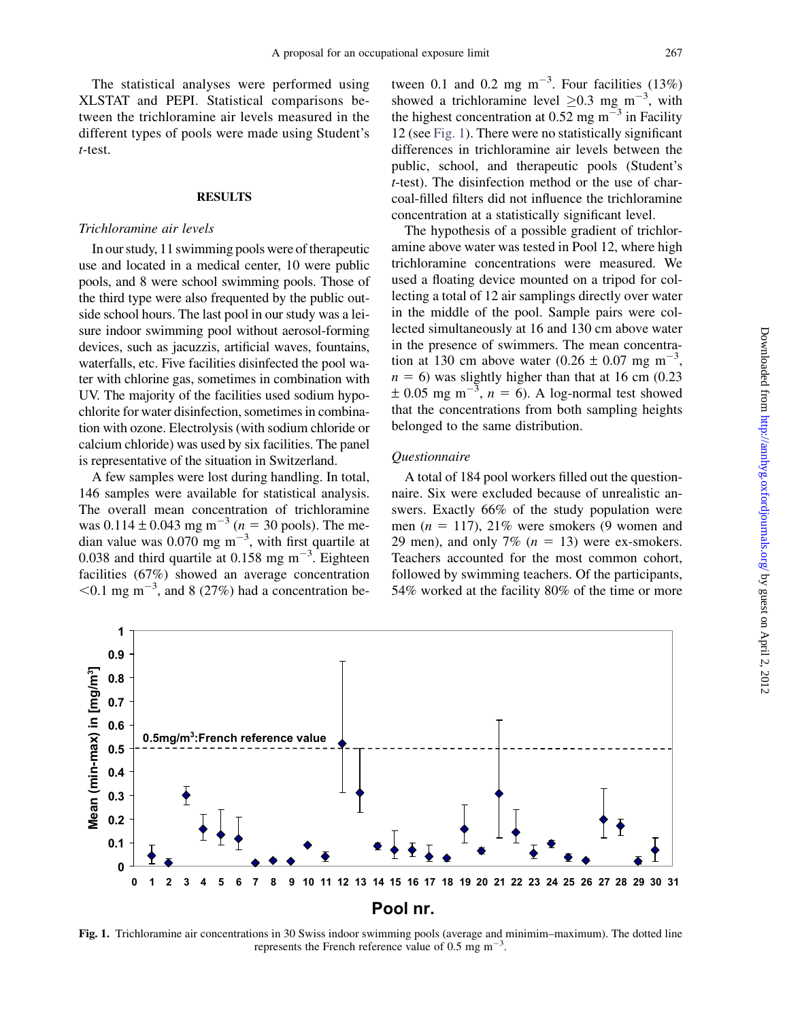The statistical analyses were performed using XLSTAT and PEPI. Statistical comparisons between the trichloramine air levels measured in the different types of pools were made using Student's t-test.

# **RESULTS**

#### Trichloramine air levels

In our study, 11 swimming pools were of therapeutic use and located in a medical center, 10 were public pools, and 8 were school swimming pools. Those of the third type were also frequented by the public outside school hours. The last pool in our study was a leisure indoor swimming pool without aerosol-forming devices, such as jacuzzis, artificial waves, fountains, waterfalls, etc. Five facilities disinfected the pool water with chlorine gas, sometimes in combination with UV. The majority of the facilities used sodium hypochlorite for water disinfection, sometimes in combination with ozone. Electrolysis (with sodium chloride or calcium chloride) was used by six facilities. The panel is representative of the situation in Switzerland.

A few samples were lost during handling. In total, 146 samples were available for statistical analysis. The overall mean concentration of trichloramine was  $0.114 \pm 0.043$  mg m<sup>-3</sup> (n = 30 pools). The median value was  $0.070$  mg m<sup>-3</sup>, with first quartile at 0.038 and third quartile at 0.158 mg  $m^{-3}$ . Eighteen facilities (67%) showed an average concentration  $<$ 0.1 mg m<sup>-3</sup>, and 8 (27%) had a concentration be-

tween 0.1 and 0.2 mg  $m^{-3}$ . Four facilities (13%) showed a trichloramine level  $\geq 0.3$  mg m<sup>-3</sup>, with the highest concentration at  $0.52$  mg m<sup>-3</sup> in Facility 12 (see Fig. 1). There were no statistically significant differences in trichloramine air levels between the public, school, and therapeutic pools (Student's t-test). The disinfection method or the use of charcoal-filled filters did not influence the trichloramine concentration at a statistically significant level.

The hypothesis of a possible gradient of trichloramine above water was tested in Pool 12, where high trichloramine concentrations were measured. We used a floating device mounted on a tripod for collecting a total of 12 air samplings directly over water in the middle of the pool. Sample pairs were collected simultaneously at 16 and 130 cm above water in the presence of swimmers. The mean concentration at 130 cm above water (0.26  $\pm$  0.07 mg m<sup>-3</sup> ,  $n = 6$ ) was slightly higher than that at 16 cm (0.23)  $\pm$  0.05 mg m<sup>-3</sup>, n = 6). A log-normal test showed that the concentrations from both sampling heights belonged to the same distribution.

# Questionnaire

A total of 184 pool workers filled out the questionnaire. Six were excluded because of unrealistic answers. Exactly 66% of the study population were men ( $n = 117$ ), 21% were smokers (9 women and 29 men), and only 7% ( $n = 13$ ) were ex-smokers. Teachers accounted for the most common cohort, followed by swimming teachers. Of the participants, 54% worked at the facility 80% of the time or more



represents the French reference value of 0.5 mg  $\text{m}^{-3}$ .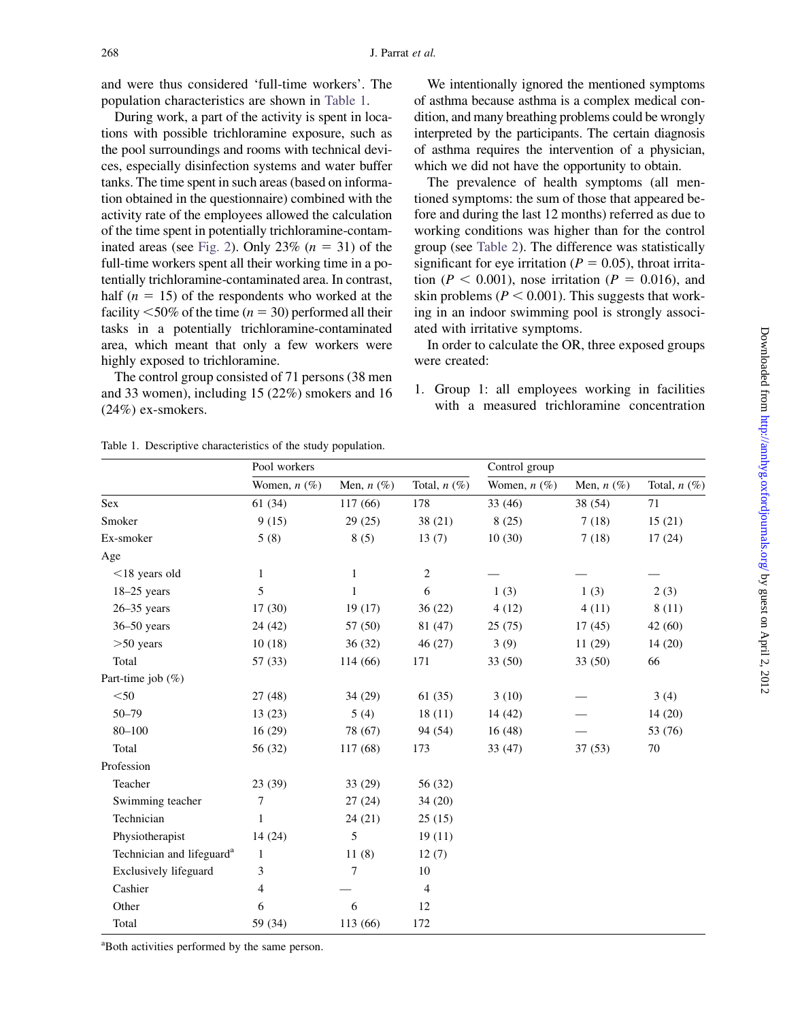and were thus considered 'full-time workers'. The population characteristics are shown in Table 1.

During work, a part of the activity is spent in locations with possible trichloramine exposure, such as the pool surroundings and rooms with technical devices, especially disinfection systems and water buffer tanks. The time spent in such areas (based on information obtained in the questionnaire) combined with the activity rate of the employees allowed the calculation of the time spent in potentially trichloramine-contam-inated areas (see [Fig. 2\)](#page-5-0). Only 23%  $(n = 31)$  of the full-time workers spent all their working time in a potentially trichloramine-contaminated area. In contrast, half ( $n = 15$ ) of the respondents who worked at the facility  $\leq 50\%$  of the time (n = 30) performed all their tasks in a potentially trichloramine-contaminated area, which meant that only a few workers were highly exposed to trichloramine.

The control group consisted of 71 persons (38 men and 33 women), including 15 (22%) smokers and 16 (24%) ex-smokers.

We intentionally ignored the mentioned symptoms of asthma because asthma is a complex medical condition, and many breathing problems could be wrongly interpreted by the participants. The certain diagnosis of asthma requires the intervention of a physician, which we did not have the opportunity to obtain.

The prevalence of health symptoms (all mentioned symptoms: the sum of those that appeared before and during the last 12 months) referred as due to working conditions was higher than for the control group (see [Table 2](#page-5-0)). The difference was statistically significant for eye irritation ( $P = 0.05$ ), throat irritation ( $P < 0.001$ ), nose irritation ( $P = 0.016$ ), and skin problems ( $P < 0.001$ ). This suggests that working in an indoor swimming pool is strongly associated with irritative symptoms.

In order to calculate the OR, three exposed groups were created:

1. Group 1: all employees working in facilities with a measured trichloramine concentration

|                                       | Pool workers      |                 |                   | Control group     |                 |                |  |
|---------------------------------------|-------------------|-----------------|-------------------|-------------------|-----------------|----------------|--|
|                                       | Women, $n$ $(\%)$ | Men, $n$ $(\%)$ | Total, $n$ $(\%)$ | Women, $n$ $(\%)$ | Men, $n$ $(\%)$ | Total, $n(\%)$ |  |
| Sex                                   | 61(34)            | 117 (66)        | 178               | 33(46)            | 38 (54)         | 71             |  |
| Smoker                                | 9(15)             | 29(25)          | 38(21)            | 8(25)             | 7(18)           | 15(21)         |  |
| Ex-smoker                             | 5(8)              | 8(5)            | 13(7)             | 10(30)            | 7(18)           | 17(24)         |  |
| Age                                   |                   |                 |                   |                   |                 |                |  |
| $<$ 18 years old                      | 1                 | 1               | $\overline{c}$    |                   |                 |                |  |
| $18-25$ years                         | 5                 | $\mathbf{1}$    | 6                 | 1(3)              | 1(3)            | 2(3)           |  |
| $26 - 35$ years                       | 17(30)            | 19(17)          | 36(22)            | 4(12)             | 4(11)           | 8(11)          |  |
| $36 - 50$ years                       | 24 (42)           | 57 (50)         | 81 (47)           | 25(75)            | 17(45)          | 42 (60)        |  |
| $>50$ years                           | 10(18)            | 36(32)          | 46(27)            | 3(9)              | 11(29)          | 14(20)         |  |
| Total                                 | 57(33)            | 114 (66)        | 171               | 33(50)            | 33 (50)         | 66             |  |
| Part-time job $(\% )$                 |                   |                 |                   |                   |                 |                |  |
| $<$ 50 $\,$                           | 27(48)            | 34(29)          | 61(35)            | 3(10)             |                 | 3(4)           |  |
| $50 - 79$                             | 13(23)            | 5(4)            | 18(11)            | 14(42)            |                 | 14(20)         |  |
| $80 - 100$                            | 16(29)            | 78 (67)         | 94 (54)           | 16(48)            |                 | 53 (76)        |  |
| Total                                 | 56 (32)           | 117 (68)        | 173               | 33(47)            | 37(53)          | 70             |  |
| Profession                            |                   |                 |                   |                   |                 |                |  |
| Teacher                               | 23(39)            | 33(29)          | 56 (32)           |                   |                 |                |  |
| Swimming teacher                      | 7                 | 27(24)          | 34(20)            |                   |                 |                |  |
| Technician                            | $\mathbf{1}$      | 24(21)          | 25(15)            |                   |                 |                |  |
| Physiotherapist                       | 14(24)            | 5               | 19(11)            |                   |                 |                |  |
| Technician and lifeguard <sup>a</sup> | $\mathbf{1}$      | 11(8)           | 12(7)             |                   |                 |                |  |
| Exclusively lifeguard                 | 3                 | 7               | 10                |                   |                 |                |  |
| Cashier                               | 4                 |                 | 4                 |                   |                 |                |  |
| Other                                 | 6                 | 6               | 12                |                   |                 |                |  |
| Total                                 | 59 (34)           | 113 (66)        | 172               |                   |                 |                |  |

Table 1. Descriptive characteristics of the study population.

a Both activities performed by the same person.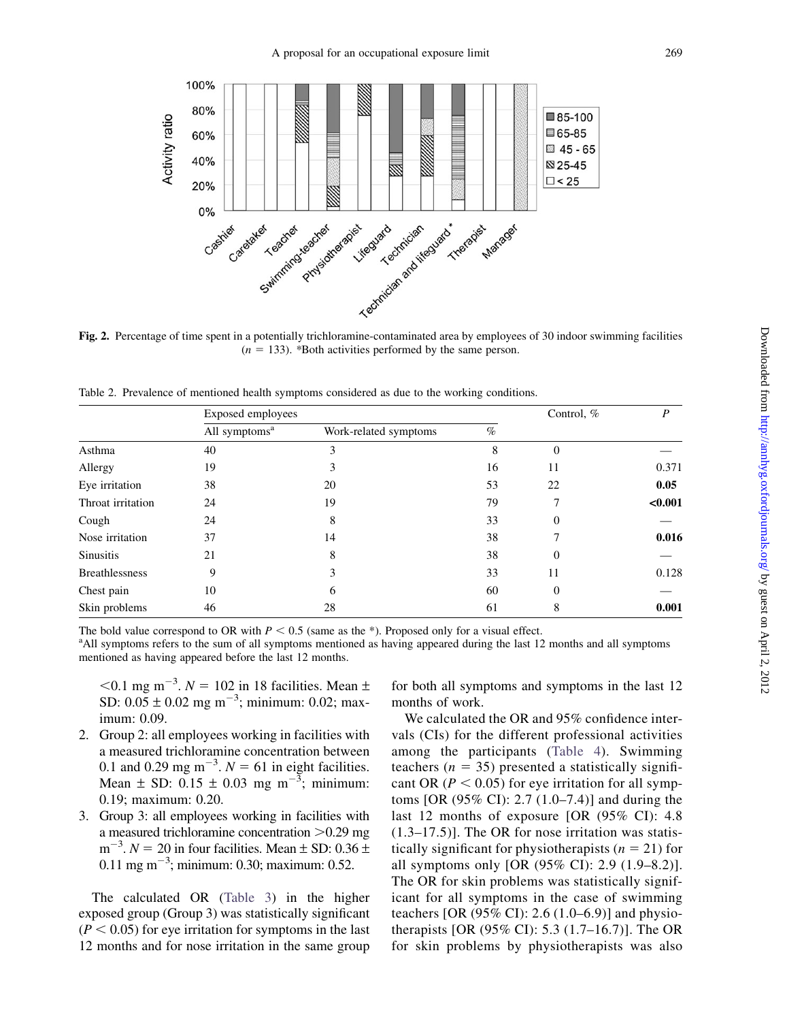<span id="page-5-0"></span>

 $(n = 133)$ . \*Both activities performed by the same person.

Table 2. Prevalence of mentioned health symptoms considered as due to the working conditions.

|                       | Exposed employees         | Control, %            | P    |              |         |
|-----------------------|---------------------------|-----------------------|------|--------------|---------|
|                       | All symptoms <sup>a</sup> | Work-related symptoms | $\%$ |              |         |
| Asthma                | 40                        | 3                     | 8    | $\Omega$     |         |
| Allergy               | 19                        | 3                     | 16   | 11           | 0.371   |
| Eye irritation        | 38                        | 20                    | 53   | 22           | 0.05    |
| Throat irritation     | 24                        | 19                    | 79   |              | < 0.001 |
| Cough                 | 24                        | 8                     | 33   | 0            |         |
| Nose irritation       | 37                        | 14                    | 38   |              | 0.016   |
| <b>Sinusitis</b>      | 21                        | 8                     | 38   | $\mathbf{0}$ |         |
| <b>Breathlessness</b> | 9                         | 3                     | 33   | 11           | 0.128   |
| Chest pain            | 10                        | 6                     | 60   | $\mathbf{0}$ |         |
| Skin problems         | 46                        | 28                    | 61   | 8            | 0.001   |

The bold value correspond to OR with  $P < 0.5$  (same as the \*). Proposed only for a visual effect.

<sup>a</sup> All symptoms refers to the sum of all symptoms mentioned as having appeared during the last 12 months and all symptoms mentioned as having appeared before the last 12 months.

 $<$ 0.1 mg m<sup>-3</sup>.  $N = 102$  in 18 facilities. Mean  $\pm$ SD:  $0.05 \pm 0.02$  mg m<sup>-3</sup>; minimum: 0.02; maximum: 0.09.

- 2. Group 2: all employees working in facilities with a measured trichloramine concentration between 0.1 and 0.29 mg m<sup>-3</sup>.  $N = 61$  in eight facilities. Mean  $\pm$  SD: 0.15  $\pm$  0.03 mg m<sup>-3</sup>; minimum: 0.19; maximum: 0.20.
- 3. Group 3: all employees working in facilities with a measured trichloramine concentration  $>0.29$  mg  $m^{-3}$ .  $N = 20$  in four facilities. Mean  $\pm$  SD: 0.36  $\pm$  $0.11$  mg m<sup> $-3$ </sup>; minimum: 0.30; maximum: 0.52.

The calculated OR ([Table 3\)](#page-6-0) in the higher exposed group (Group 3) was statistically significant  $(P < 0.05)$  for eye irritation for symptoms in the last 12 months and for nose irritation in the same group

for both all symptoms and symptoms in the last 12 months of work.

We calculated the OR and 95% confidence intervals (CIs) for the different professional activities among the participants ([Table 4\)](#page-7-0). Swimming teachers ( $n = 35$ ) presented a statistically significant OR ( $P < 0.05$ ) for eye irritation for all symptoms [OR (95% CI): 2.7 (1.0–7.4)] and during the last 12 months of exposure [OR (95% CI): 4.8 (1.3–17.5)]. The OR for nose irritation was statistically significant for physiotherapists  $(n = 21)$  for all symptoms only [OR (95% CI): 2.9 (1.9–8.2)]. The OR for skin problems was statistically significant for all symptoms in the case of swimming teachers [OR  $(95\% \text{ CI})$ : 2.6  $(1.0-6.9)$ ] and physiotherapists [OR (95% CI): 5.3 (1.7–16.7)]. The OR for skin problems by physiotherapists was also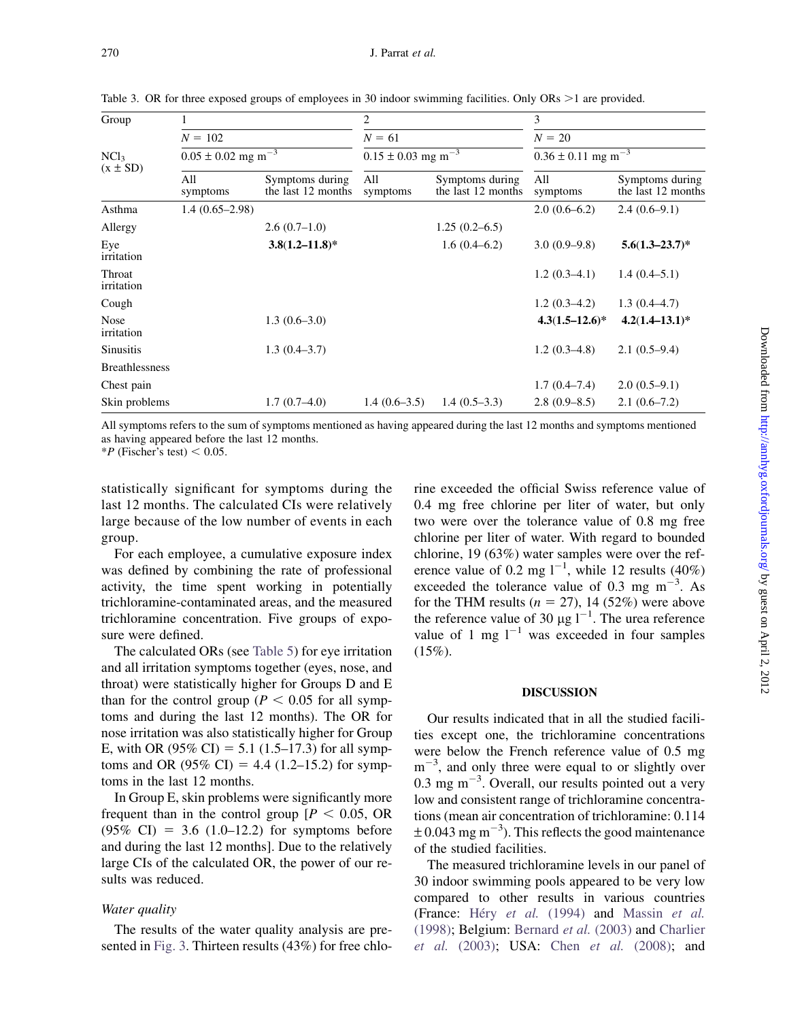| Group                            | 1                                  |                                       | $\overline{c}$                     |                                       | 3<br>$N = 20$<br>$0.36 \pm 0.11$ mg m <sup>-3</sup> |                                       |  |
|----------------------------------|------------------------------------|---------------------------------------|------------------------------------|---------------------------------------|-----------------------------------------------------|---------------------------------------|--|
|                                  | $N = 102$                          |                                       | $N = 61$                           |                                       |                                                     |                                       |  |
| NCl <sub>3</sub><br>$(x \pm SD)$ | $0.05 \pm 0.02$ mg m <sup>-3</sup> |                                       | $0.15 \pm 0.03$ mg m <sup>-3</sup> |                                       |                                                     |                                       |  |
|                                  | All<br>symptoms                    | Symptoms during<br>the last 12 months | All<br>symptoms                    | Symptoms during<br>the last 12 months | All<br>symptoms                                     | Symptoms during<br>the last 12 months |  |
| Asthma                           | $1.4(0.65-2.98)$                   |                                       |                                    |                                       | $2.0(0.6-6.2)$                                      | $2.4(0.6-9.1)$                        |  |
| Allergy                          |                                    | $2.6(0.7-1.0)$                        |                                    | $1.25(0.2-6.5)$                       |                                                     |                                       |  |
| Eye<br>irritation                |                                    | $3.8(1.2 - 11.8)^*$                   |                                    | 1.6(0.4–6.2)                          | $3.0(0.9-9.8)$                                      | $5.6(1.3-23.7)^*$                     |  |
| Throat<br>irritation             |                                    |                                       |                                    |                                       | $1.2(0.3-4.1)$                                      | $1.4(0.4-5.1)$                        |  |
| Cough                            |                                    |                                       |                                    |                                       | $1.2(0.3-4.2)$                                      | $1.3(0.4-4.7)$                        |  |
| <b>Nose</b><br>irritation        |                                    | $1.3(0.6-3.0)$                        |                                    |                                       | $4.3(1.5-12.6)^*$                                   | $4.2(1.4-13.1)^*$                     |  |
| Sinusitis                        |                                    | $1.3(0.4-3.7)$                        |                                    |                                       | $1.2(0.3-4.8)$                                      | $2.1(0.5-9.4)$                        |  |
| <b>Breathlessness</b>            |                                    |                                       |                                    |                                       |                                                     |                                       |  |
| Chest pain                       |                                    |                                       |                                    |                                       | $1.7(0.4 - 7.4)$                                    | $2.0(0.5-9.1)$                        |  |
| Skin problems                    |                                    | $1.7(0.7-4.0)$                        | $1.4(0.6-3.5)$                     | $1.4(0.5-3.3)$                        | $2.8(0.9-8.5)$                                      | $2.1(0.6-7.2)$                        |  |

<span id="page-6-0"></span>Table 3. OR for three exposed groups of employees in 30 indoor swimming facilities. Only ORs  $\geq 1$  are provided.

All symptoms refers to the sum of symptoms mentioned as having appeared during the last 12 months and symptoms mentioned as having appeared before the last 12 months.

 $*P$  (Fischer's test) < 0.05.

statistically significant for symptoms during the last 12 months. The calculated CIs were relatively large because of the low number of events in each group.

For each employee, a cumulative exposure index was defined by combining the rate of professional activity, the time spent working in potentially trichloramine-contaminated areas, and the measured trichloramine concentration. Five groups of exposure were defined.

The calculated ORs (see [Table 5\)](#page-8-0) for eye irritation and all irritation symptoms together (eyes, nose, and throat) were statistically higher for Groups D and E than for the control group ( $P < 0.05$  for all symptoms and during the last 12 months). The OR for nose irritation was also statistically higher for Group E, with OR (95% CI) = 5.1 (1.5–17.3) for all symptoms and OR (95% CI) = 4.4 (1.2–15.2) for symptoms in the last 12 months.

In Group E, skin problems were significantly more frequent than in the control group  $[P \le 0.05, \text{ OR}]$  $(95\% \text{ CI}) = 3.6 \ (1.0-12.2) \text{ for symptoms before}$ and during the last 12 months]. Due to the relatively large CIs of the calculated OR, the power of our results was reduced.

## Water quality

The results of the water quality analysis are presented in [Fig. 3.](#page-9-0) Thirteen results (43%) for free chlorine exceeded the official Swiss reference value of 0.4 mg free chlorine per liter of water, but only two were over the tolerance value of 0.8 mg free chlorine per liter of water. With regard to bounded chlorine, 19 (63%) water samples were over the reference value of 0.2 mg  $l^{-1}$ , while 12 results (40%) exceeded the tolerance value of 0.3 mg  $m^{-3}$ . As for the THM results ( $n = 27$ ), 14 (52%) were above the reference value of 30  $\mu$ g l<sup>-1</sup>. The urea reference value of 1 mg  $1^{-1}$  was exceeded in four samples  $(15\%)$ .

#### **DISCUSSION**

Our results indicated that in all the studied facilities except one, the trichloramine concentrations were below the French reference value of 0.5 mg  $m^{-3}$ , and only three were equal to or slightly over  $0.3$  mg m<sup>-3</sup>. Overall, our results pointed out a very low and consistent range of trichloramine concentrations (mean air concentration of trichloramine: 0.114  $\pm$  0.043 mg m<sup>-3</sup>). This reflects the good maintenance of the studied facilities.

The measured trichloramine levels in our panel of 30 indoor swimming pools appeared to be very low compared to other results in various countries (France: Héry et al. [\(1994\)](#page-12-0) and [Massin](#page-12-0) et al. [\(1998\)](#page-12-0); Belgium: [Bernard](#page-12-0) et al. (2003) and [Charlier](#page-12-0) et al. [\(2003\)](#page-12-0); USA: Chen et al. [\(2008\)](#page-12-0); and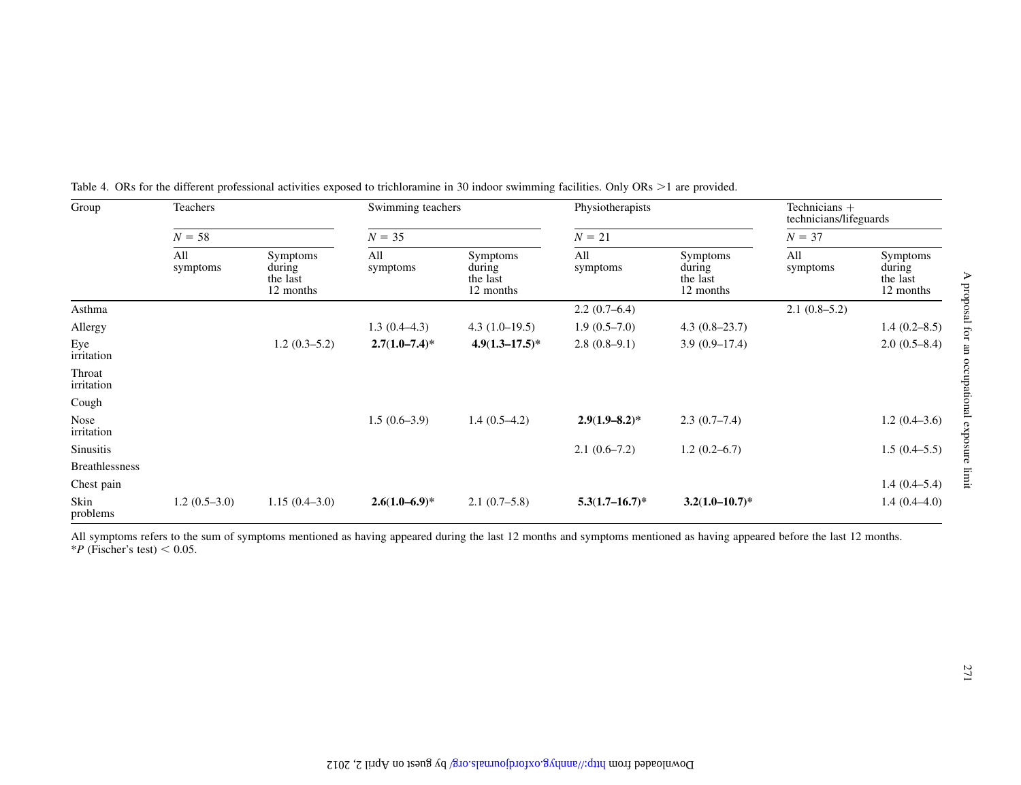| Group                 | Teachers        |                                             | Swimming teachers  |                                             | Physiotherapists    |                                                    | Technicians +<br>technicians/lifeguards |                                             |  |
|-----------------------|-----------------|---------------------------------------------|--------------------|---------------------------------------------|---------------------|----------------------------------------------------|-----------------------------------------|---------------------------------------------|--|
|                       | $N = 58$        |                                             |                    | $N = 35$                                    |                     | $N = 21$                                           |                                         | $N = 37$                                    |  |
|                       | All<br>symptoms | Symptoms<br>during<br>the last<br>12 months | All<br>symptoms    | Symptoms<br>during<br>the last<br>12 months | All<br>symptoms     | <b>Symptoms</b><br>during<br>the last<br>12 months | All<br>symptoms                         | Symptoms<br>during<br>the last<br>12 months |  |
| Asthma                |                 |                                             |                    |                                             | $2.2(0.7-6.4)$      |                                                    | $2.1(0.8-5.2)$                          |                                             |  |
| Allergy               |                 |                                             | $1.3(0.4-4.3)$     | $4.3(1.0-19.5)$                             | $1.9(0.5-7.0)$      | $4.3(0.8-23.7)$                                    |                                         | $1.4(0.2 - 8.5)$                            |  |
| Eye<br>irritation     |                 | $1.2(0.3-5.2)$                              | $2.7(1.0 - 7.4)^*$ | $4.9(1.3 - 17.5)^*$                         | $2.8(0.8-9.1)$      | $3.9(0.9-17.4)$                                    |                                         | $2.0(0.5-8.4)$                              |  |
| Throat<br>irritation  |                 |                                             |                    |                                             |                     |                                                    |                                         |                                             |  |
| Cough                 |                 |                                             |                    |                                             |                     |                                                    |                                         |                                             |  |
| Nose<br>irritation    |                 |                                             | $1.5(0.6-3.9)$     | $1.4(0.5-4.2)$                              | $2.9(1.9 - 8.2)^*$  | $2.3(0.7-7.4)$                                     |                                         | $1.2(0.4-3.6)$                              |  |
| Sinusitis             |                 |                                             |                    |                                             | $2.1(0.6-7.2)$      | $1.2(0.2-6.7)$                                     |                                         | $1.5(0.4-5.5)$                              |  |
| <b>Breathlessness</b> |                 |                                             |                    |                                             |                     |                                                    |                                         |                                             |  |
| Chest pain            |                 |                                             |                    |                                             |                     |                                                    |                                         | $1.4(0.4-5.4)$                              |  |
| Skin<br>problems      | $1.2(0.5-3.0)$  | $1.15(0.4-3.0)$                             | $2.6(1.0-6.9)$ *   | $2.1(0.7-5.8)$                              | $5.3(1.7 - 16.7)^*$ | $3.2(1.0-10.7)^*$                                  |                                         | $1.4(0.4-4.0)$                              |  |

<span id="page-7-0"></span>Table 4. ORs for the different professional activities exposed to trichloramine in 30 indoor swimming facilities. Only ORs >1 are provided.

All symptoms refers to the sum of symptoms mentioned as having appeared during the last 12 months and symptoms mentioned as having appeared before the last 12 months.<br>\*P (Fischer's test) < 0.05.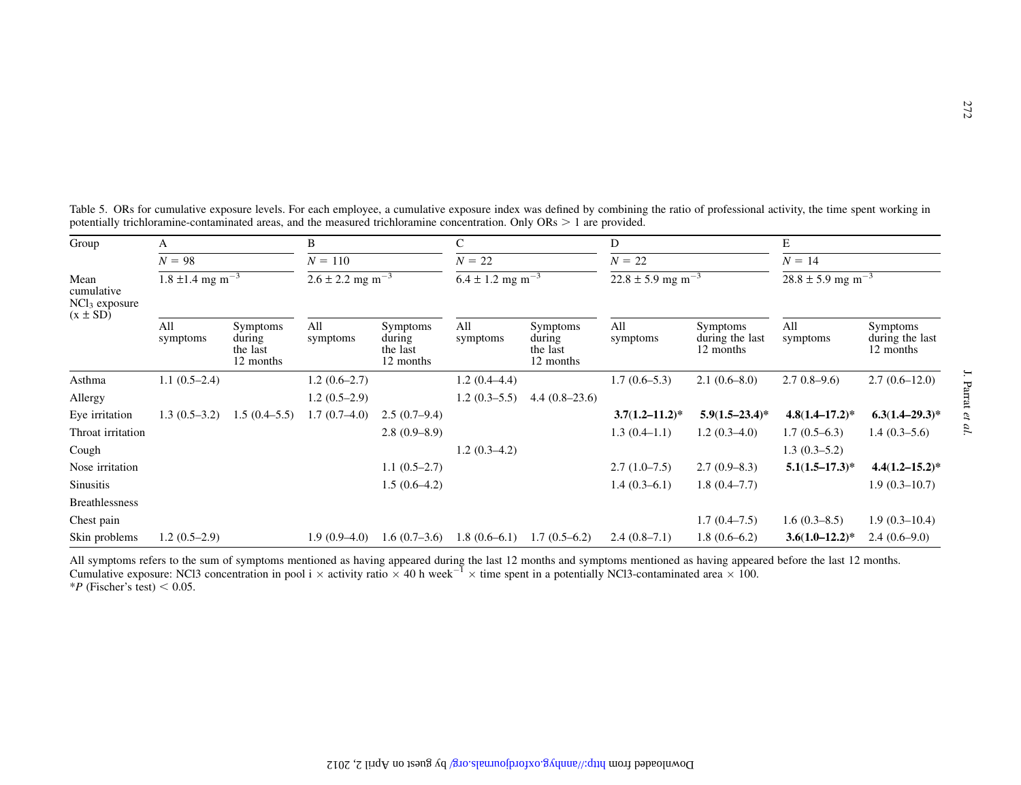| Group                                  | А                                            |                                             | B                                                 |                                             | C                                                |                                             | D                                             |                                          | E                                             |                                          |
|----------------------------------------|----------------------------------------------|---------------------------------------------|---------------------------------------------------|---------------------------------------------|--------------------------------------------------|---------------------------------------------|-----------------------------------------------|------------------------------------------|-----------------------------------------------|------------------------------------------|
|                                        | $N = 98$<br>$1.8 \pm 1.4$ mg m <sup>-3</sup> |                                             | $N = 110$<br>$2.6 \pm 2.2$ mg $\overline{m^{-3}}$ |                                             | $N = 22$<br>$6.4 \pm 1.2$ mg $\overline{m^{-3}}$ |                                             | $N = 22$<br>$22.8 \pm 5.9$ mg m <sup>-3</sup> |                                          | $N = 14$<br>$28.8 \pm 5.9$ mg m <sup>-3</sup> |                                          |
| Mean<br>cumulative<br>$NCl_3$ exposure |                                              |                                             |                                                   |                                             |                                                  |                                             |                                               |                                          |                                               |                                          |
| $(x \pm SD)$                           | All<br>symptoms                              | Symptoms<br>during<br>the last<br>12 months | All<br>symptoms                                   | Symptoms<br>during<br>the last<br>12 months | All<br>symptoms                                  | Symptoms<br>during<br>the last<br>12 months | All<br>symptoms                               | Symptoms<br>during the last<br>12 months | All<br>symptoms                               | Symptoms<br>during the last<br>12 months |
| Asthma                                 | $1.1(0.5-2.4)$                               |                                             | $1.2(0.6-2.7)$                                    |                                             | $1.2(0.4-4.4)$                                   |                                             | $1.7(0.6-5.3)$                                | $2.1(0.6-8.0)$                           | $2.70.8 - 9.6$                                | $2.7(0.6-12.0)$                          |
| Allergy                                |                                              |                                             | $1.2(0.5-2.9)$                                    |                                             | $1.2(0.3-5.5)$                                   | $4.4(0.8-23.6)$                             |                                               |                                          |                                               |                                          |
| Eye irritation                         | $1.3(0.5-3.2)$                               | $1.5(0.4-5.5)$                              | $1.7(0.7-4.0)$                                    | $2.5(0.7-9.4)$                              |                                                  |                                             | $3.7(1.2 - 11.2)^*$                           | $5.9(1.5-23.4)$ *                        | $4.8(1.4 - 17.2)^*$                           | $6.3(1.4-29.3)*$                         |
| Throat irritation                      |                                              |                                             |                                                   | $2.8(0.9-8.9)$                              |                                                  |                                             | $1.3(0.4-1.1)$                                | $1.2(0.3-4.0)$                           | $1.7(0.5-6.3)$                                | $1.4(0.3-5.6)$                           |
| Cough                                  |                                              |                                             |                                                   |                                             | $1.2(0.3-4.2)$                                   |                                             |                                               |                                          | $1.3(0.3-5.2)$                                |                                          |
| Nose irritation                        |                                              |                                             |                                                   | $1.1(0.5-2.7)$                              |                                                  |                                             | $2.7(1.0-7.5)$                                | $2.7(0.9-8.3)$                           | $5.1(1.5-17.3)^*$                             | $4.4(1.2 - 15.2)^*$                      |
| Sinusitis                              |                                              |                                             |                                                   | $1.5(0.6-4.2)$                              |                                                  |                                             | $1.4(0.3-6.1)$                                | $1.8(0.4 - 7.7)$                         |                                               | $1.9(0.3-10.7)$                          |
| <b>Breathlessness</b>                  |                                              |                                             |                                                   |                                             |                                                  |                                             |                                               |                                          |                                               |                                          |
| Chest pain                             |                                              |                                             |                                                   |                                             |                                                  |                                             |                                               | $1.7(0.4-7.5)$                           | $1.6(0.3-8.5)$                                | $1.9(0.3-10.4)$                          |
| Skin problems                          | $1.2(0.5-2.9)$                               |                                             | $1.9(0.9-4.0)$                                    | $1.6(0.7-3.6)$                              | $1.8(0.6-6.1)$                                   | $1.7(0.5-6.2)$                              | $2.4(0.8-7.1)$                                | $1.8(0.6-6.2)$                           | $3.6(1.0-12.2)^*$                             | $2.4(0.6-9.0)$                           |

<span id="page-8-0"></span>Table 5. ORs for cumulative exposure levels. For each employee, a cumulative exposure index was defined by combining the ratio of professional activity, the time spent working in potentially trichloramine-contaminated areas, and the measured trichloramine concentration. Only  $ORs > 1$  are provided.

All symptoms refers to the sum of symptoms mentioned as having appeared during the last 12 months and symptoms mentioned as having appeared before the last 12 months.<br>Cumulative exposure: NCl3 concentration in pool i × ac  $*P$  (Fischer's test)  $< 0.05$ .

272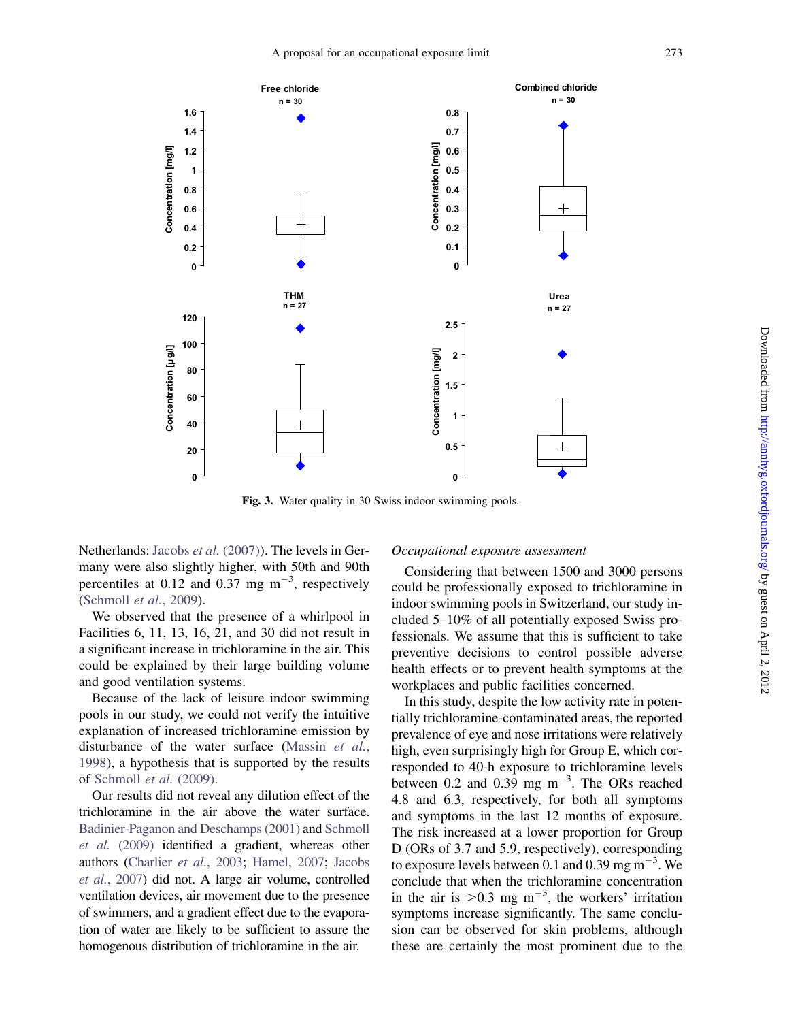<span id="page-9-0"></span>

Fig. 3. Water quality in 30 Swiss indoor swimming pools.

Netherlands: Jacobs et al. [\(2007\)\)](#page-12-0). The levels in Germany were also slightly higher, with 50th and 90th percentiles at 0.12 and 0.37 mg  $m^{-3}$ , respectively ([Schmoll](#page-13-0) et al., 2009).

We observed that the presence of a whirlpool in Facilities 6, 11, 13, 16, 21, and 30 did not result in a significant increase in trichloramine in the air. This could be explained by their large building volume and good ventilation systems.

Because of the lack of leisure indoor swimming pools in our study, we could not verify the intuitive explanation of increased trichloramine emission by disturbance of the water surface [\(Massin](#page-12-0) et al., [1998\)](#page-12-0), a hypothesis that is supported by the results of [Schmoll](#page-13-0) et al. (2009).

Our results did not reveal any dilution effect of the trichloramine in the air above the water surface. [Badinier-Paganon and Deschamps \(2001\)](#page-12-0) and [Schmoll](#page-13-0) et al. [\(2009\)](#page-13-0) identified a gradient, whereas other authors ([Charlier](#page-12-0) et al., 2003; [Hamel, 2007](#page-12-0); [Jacobs](#page-12-0) et al.[, 2007](#page-12-0)) did not. A large air volume, controlled ventilation devices, air movement due to the presence of swimmers, and a gradient effect due to the evaporation of water are likely to be sufficient to assure the homogenous distribution of trichloramine in the air.

## Occupational exposure assessment

Considering that between 1500 and 3000 persons could be professionally exposed to trichloramine in indoor swimming pools in Switzerland, our study included 5–10% of all potentially exposed Swiss professionals. We assume that this is sufficient to take preventive decisions to control possible adverse health effects or to prevent health symptoms at the workplaces and public facilities concerned.

In this study, despite the low activity rate in potentially trichloramine-contaminated areas, the reported prevalence of eye and nose irritations were relatively high, even surprisingly high for Group E, which corresponded to 40-h exposure to trichloramine levels between 0.2 and 0.39 mg  $m^{-3}$ . The ORs reached 4.8 and 6.3, respectively, for both all symptoms and symptoms in the last 12 months of exposure. The risk increased at a lower proportion for Group D (ORs of 3.7 and 5.9, respectively), corresponding to exposure levels between 0.1 and 0.39 mg  $\text{m}^{-3}$ . We conclude that when the trichloramine concentration in the air is  $>0.3$  mg m<sup>-3</sup>, the workers' irritation symptoms increase significantly. The same conclusion can be observed for skin problems, although these are certainly the most prominent due to the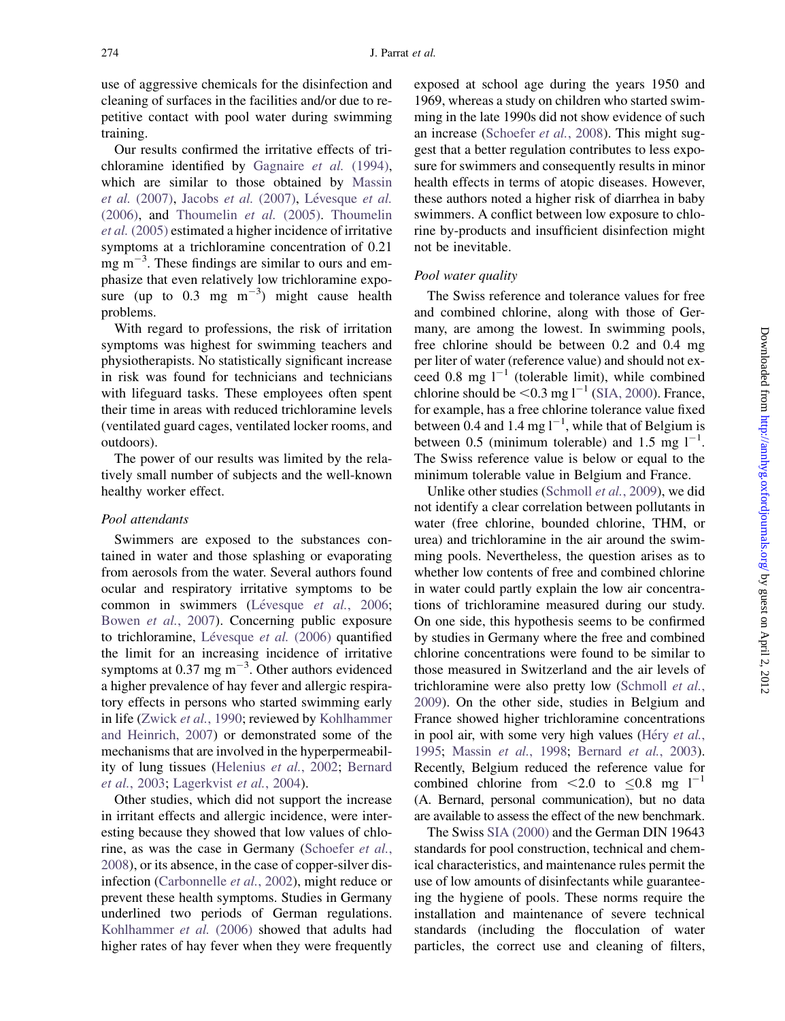use of aggressive chemicals for the disinfection and cleaning of surfaces in the facilities and/or due to repetitive contact with pool water during swimming training.

Our results confirmed the irritative effects of trichloramine identified by [Gagnaire](#page-12-0) et al. (1994), which are similar to those obtained by [Massin](#page-12-0) et al.  $(2007)$ , [Jacobs](#page-12-0) et al.  $(2007)$ , Lévesque et al.  $(2006)$ , and [Thoumelin](#page-13-0) *et al.*  $(2005)$ . Thoumelin et al. [\(2005\)](#page-13-0) estimated a higher incidence of irritative symptoms at a trichloramine concentration of 0.21  $mg \, \text{m}^{-3}$ . These findings are similar to ours and emphasize that even relatively low trichloramine exposure (up to  $0.3$  mg m<sup>-3</sup>) might cause health problems.

With regard to professions, the risk of irritation symptoms was highest for swimming teachers and physiotherapists. No statistically significant increase in risk was found for technicians and technicians with lifeguard tasks. These employees often spent their time in areas with reduced trichloramine levels (ventilated guard cages, ventilated locker rooms, and outdoors).

The power of our results was limited by the relatively small number of subjects and the well-known healthy worker effect.

## Pool attendants

Swimmers are exposed to the substances contained in water and those splashing or evaporating from aerosols from the water. Several authors found ocular and respiratory irritative symptoms to be common in swimmers (Lévesque et al., 2006; [Bowen](#page-12-0) et al., 2007). Concerning public exposure to trichloramine, Lévesque et al.  $(2006)$  quantified the limit for an increasing incidence of irritative symptoms at 0.37 mg  $\text{m}^{-3}$ . Other authors evidenced a higher prevalence of hay fever and allergic respiratory effects in persons who started swimming early in life ([Zwick](#page-13-0) et al., 1990; reviewed by [Kohlhammer](#page-12-0) [and Heinrich, 2007\)](#page-12-0) or demonstrated some of the mechanisms that are involved in the hyperpermeability of lung tissues ([Helenius](#page-12-0) et al., 2002; [Bernard](#page-12-0) et al.[, 2003;](#page-12-0) [Lagerkvist](#page-12-0) et al., 2004).

Other studies, which did not support the increase in irritant effects and allergic incidence, were interesting because they showed that low values of chlo-rine, as was the case in Germany [\(Schoefer](#page-13-0) et al., [2008](#page-13-0)), or its absence, in the case of copper-silver dis-infection ([Carbonnelle](#page-12-0) et al., 2002), might reduce or prevent these health symptoms. Studies in Germany underlined two periods of German regulations. [Kohlhammer](#page-12-0) et al. (2006) showed that adults had higher rates of hay fever when they were frequently

exposed at school age during the years 1950 and 1969, whereas a study on children who started swimming in the late 1990s did not show evidence of such an increase [\(Schoefer](#page-13-0) et al., 2008). This might suggest that a better regulation contributes to less exposure for swimmers and consequently results in minor health effects in terms of atopic diseases. However, these authors noted a higher risk of diarrhea in baby swimmers. A conflict between low exposure to chlorine by-products and insufficient disinfection might not be inevitable.

# Pool water quality

The Swiss reference and tolerance values for free and combined chlorine, along with those of Germany, are among the lowest. In swimming pools, free chlorine should be between 0.2 and 0.4 mg per liter of water (reference value) and should not exceed 0.8 mg  $1^{-1}$  (tolerable limit), while combined chlorine should be  $\leq 0.3$  mg l<sup>-1</sup> [\(SIA, 2000\)](#page-13-0). France, for example, has a free chlorine tolerance value fixed between 0.4 and 1.4 mg  $l^{-1}$ , while that of Belgium is between 0.5 (minimum tolerable) and 1.5 mg  $1^{-1}$ . The Swiss reference value is below or equal to the minimum tolerable value in Belgium and France.

Unlike other studies ([Schmoll](#page-13-0) et al., 2009), we did not identify a clear correlation between pollutants in water (free chlorine, bounded chlorine, THM, or urea) and trichloramine in the air around the swimming pools. Nevertheless, the question arises as to whether low contents of free and combined chlorine in water could partly explain the low air concentrations of trichloramine measured during our study. On one side, this hypothesis seems to be confirmed by studies in Germany where the free and combined chlorine concentrations were found to be similar to those measured in Switzerland and the air levels of trichloramine were also pretty low [\(Schmoll](#page-13-0) et al., [2009\)](#page-13-0). On the other side, studies in Belgium and France showed higher trichloramine concentrations in pool air, with some very high values (Héry  $et$   $al$ , [1995](#page-12-0); [Massin](#page-12-0) et al., 1998; [Bernard](#page-12-0) et al., 2003). Recently, Belgium reduced the reference value for combined chlorine from  $\leq 2.0$  to  $\leq 0.8$  mg l<sup>-1</sup> (A. Bernard, personal communication), but no data are available to assess the effect of the new benchmark.

The Swiss [SIA \(2000\)](#page-13-0) and the German DIN 19643 standards for pool construction, technical and chemical characteristics, and maintenance rules permit the use of low amounts of disinfectants while guaranteeing the hygiene of pools. These norms require the installation and maintenance of severe technical standards (including the flocculation of water particles, the correct use and cleaning of filters,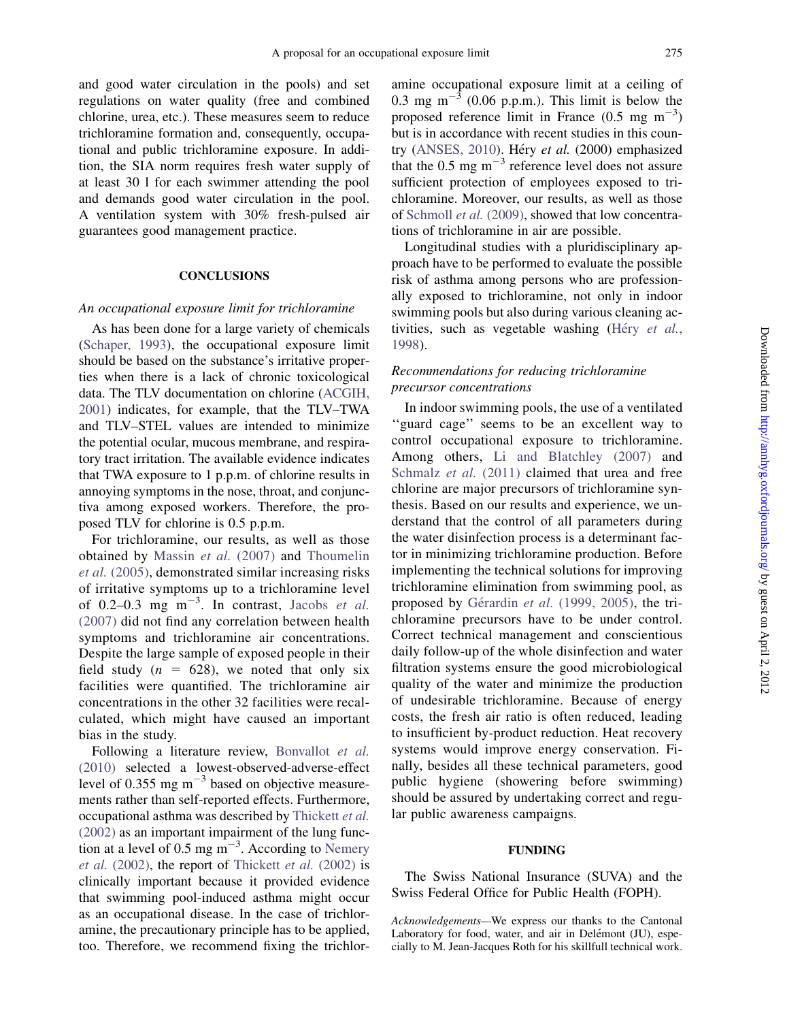and good water circulation in the pools) and set regulations on water quality (free and combined chlorine, urea, etc.). These measures seem to reduce trichloramine formation and, consequently, occupational and public trichloramine exposure. In addition, the SIA norm requires fresh water supply of at least 30 l for each swimmer attending the pool and demands good water circulation in the pool. A ventilation system with 30% fresh-pulsed air guarantees good management practice.

# **CONCLUSIONS**

## An occupational exposure limit for trichloramine

As has been done for a large variety of chemicals ([Schaper, 1993\)](#page-12-0), the occupational exposure limit should be based on the substance's irritative properties when there is a lack of chronic toxicological data. The TLV documentation on chlorine ([ACGIH,](#page-12-0) [2001\)](#page-12-0) indicates, for example, that the TLV–TWA and TLV–STEL values are intended to minimize the potential ocular, mucous membrane, and respiratory tract irritation. The available evidence indicates that TWA exposure to 1 p.p.m. of chlorine results in annoying symptoms in the nose, throat, and conjunctiva among exposed workers. Therefore, the proposed TLV for chlorine is 0.5 p.p.m.

For trichloramine, our results, as well as those obtained by [Massin](#page-12-0) et al. (2007) and [Thoumelin](#page-13-0) et al. [\(2005\),](#page-13-0) demonstrated similar increasing risks of irritative symptoms up to a trichloramine level of 0.2–0.3 mg  $\text{m}^{-3}$ . In contrast, [Jacobs](#page-12-0) et al. [\(2007\)](#page-12-0) did not find any correlation between health symptoms and trichloramine air concentrations. Despite the large sample of exposed people in their field study ( $n = 628$ ), we noted that only six facilities were quantified. The trichloramine air concentrations in the other 32 facilities were recalculated, which might have caused an important bias in the study.

Following a literature review, [Bonvallot](#page-12-0) et al. [\(2010\)](#page-12-0) selected a lowest-observed-adverse-effect level of 0.355 mg  $m^{-3}$  based on objective measurements rather than self-reported effects. Furthermore, occupational asthma was described by [Thickett](#page-13-0) et al. [\(2002\)](#page-13-0) as an important impairment of the lung function at a level of 0.5 mg  $\text{m}^{-3}$ . According to [Nemery](#page-12-0) et al.  $(2002)$ , the report of [Thickett](#page-13-0) et al.  $(2002)$  is clinically important because it provided evidence that swimming pool-induced asthma might occur as an occupational disease. In the case of trichloramine, the precautionary principle has to be applied, too. Therefore, we recommend fixing the trichloramine occupational exposure limit at a ceiling of 0.3 mg m<sup> $-3$ </sup> (0.06 p.p.m.). This limit is below the proposed reference limit in France  $(0.5 \text{ mg m}^{-3})$ but is in accordance with recent studies in this coun-try [\(ANSES, 2010\)](#page-12-0). Héry et al.  $(2000)$  emphasized that the  $0.5$  mg m<sup>-3</sup> reference level does not assure sufficient protection of employees exposed to trichloramine. Moreover, our results, as well as those of [Schmoll](#page-13-0) et al. (2009), showed that low concentrations of trichloramine in air are possible.

Longitudinal studies with a pluridisciplinary approach have to be performed to evaluate the possible risk of asthma among persons who are professionally exposed to trichloramine, not only in indoor swimming pools but also during various cleaning activities, such as vegetable washing (Héry [et al.](#page-12-0), [1998](#page-12-0)).

# Recommendations for reducing trichloramine precursor concentrations

In indoor swimming pools, the use of a ventilated ''guard cage'' seems to be an excellent way to control occupational exposure to trichloramine. Among others, [Li and Blatchley \(2007\)](#page-12-0) and [Schmalz](#page-12-0) et al. (2011) claimed that urea and free chlorine are major precursors of trichloramine synthesis. Based on our results and experience, we understand that the control of all parameters during the water disinfection process is a determinant factor in minimizing trichloramine production. Before implementing the technical solutions for improving trichloramine elimination from swimming pool, as proposed by Gérardin et al. [\(1999, 2005\),](#page-12-0) the trichloramine precursors have to be under control. Correct technical management and conscientious daily follow-up of the whole disinfection and water filtration systems ensure the good microbiological quality of the water and minimize the production of undesirable trichloramine. Because of energy costs, the fresh air ratio is often reduced, leading to insufficient by-product reduction. Heat recovery systems would improve energy conservation. Finally, besides all these technical parameters, good public hygiene (showering before swimming) should be assured by undertaking correct and regular public awareness campaigns.

#### FUNDING

The Swiss National Insurance (SUVA) and the Swiss Federal Office for Public Health (FOPH).

Acknowledgements—We express our thanks to the Cantonal Laboratory for food, water, and air in Delémont (JU), especially to M. Jean-Jacques Roth for his skillfull technical work.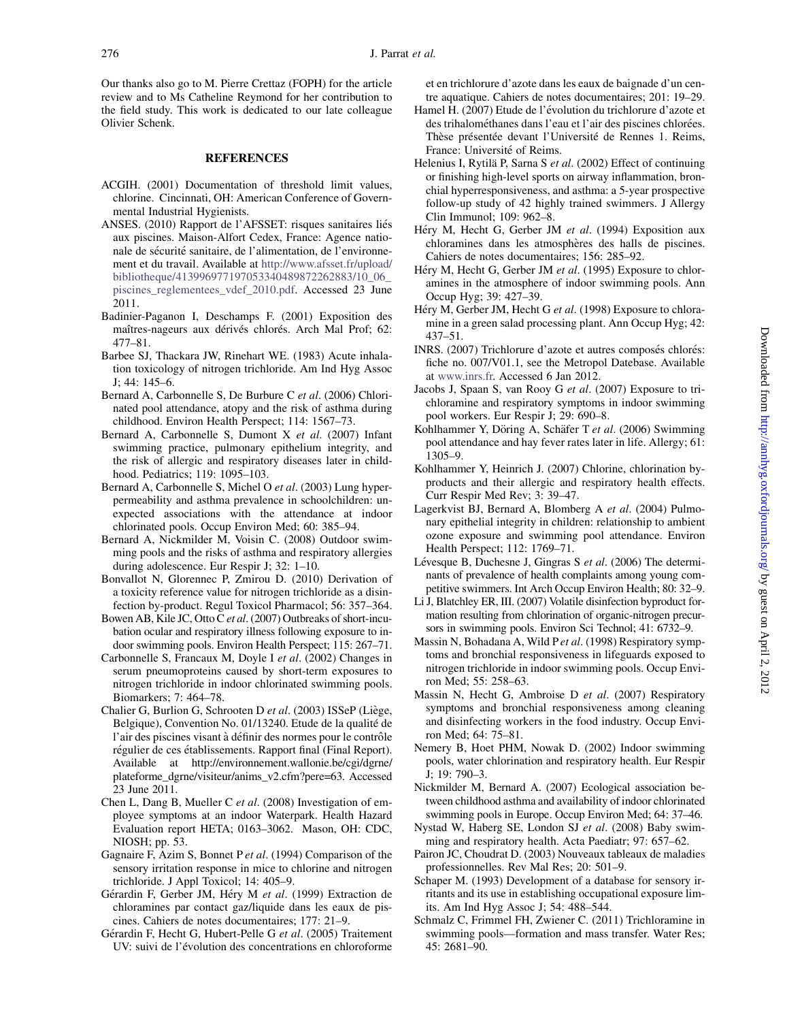<span id="page-12-0"></span>Our thanks also go to M. Pierre Crettaz (FOPH) for the article review and to Ms Catheline Reymond for her contribution to the field study. This work is dedicated to our late colleague Olivier Schenk.

# **REFERENCES**

- ACGIH. (2001) Documentation of threshold limit values, chlorine. Cincinnati, OH: American Conference of Governmental Industrial Hygienists.
- ANSES. (2010) Rapport de l'AFSSET: risques sanitaires liés aux piscines. Maison-Alfort Cedex, France: Agence nationale de sécurité sanitaire, de l'alimentation, de l'environnement et du travail. Available at [http://www.afsset.fr/upload/](http://www.afsset.fr/upload/bibliotheque/413996977197053340489872262883/10_06_piscines_reglementees_vdef_2010.pdf) [bibliotheque/413996977197053340489872262883/10\\_06\\_](http://www.afsset.fr/upload/bibliotheque/413996977197053340489872262883/10_06_piscines_reglementees_vdef_2010.pdf) [piscines\\_reglementees\\_vdef\\_2010.pdf](http://www.afsset.fr/upload/bibliotheque/413996977197053340489872262883/10_06_piscines_reglementees_vdef_2010.pdf). Accessed 23 June 2011.
- Badinier-Paganon I, Deschamps F. (2001) Exposition des maîtres-nageurs aux dérivés chlorés. Arch Mal Prof; 62: 477–81.
- Barbee SJ, Thackara JW, Rinehart WE. (1983) Acute inhalation toxicology of nitrogen trichloride. Am Ind Hyg Assoc J; 44: 145–6.
- Bernard A, Carbonnelle S, De Burbure C et al. (2006) Chlorinated pool attendance, atopy and the risk of asthma during childhood. Environ Health Perspect; 114: 1567–73.
- Bernard A, Carbonnelle S, Dumont X et al. (2007) Infant swimming practice, pulmonary epithelium integrity, and the risk of allergic and respiratory diseases later in childhood. Pediatrics; 119: 1095–103.
- Bernard A, Carbonnelle S, Michel O et al. (2003) Lung hyperpermeability and asthma prevalence in schoolchildren: unexpected associations with the attendance at indoor chlorinated pools. Occup Environ Med; 60: 385–94.
- Bernard A, Nickmilder M, Voisin C. (2008) Outdoor swimming pools and the risks of asthma and respiratory allergies during adolescence. Eur Respir J; 32: 1–10.
- Bonvallot N, Glorennec P, Zmirou D. (2010) Derivation of a toxicity reference value for nitrogen trichloride as a disinfection by-product. Regul Toxicol Pharmacol; 56: 357–364.
- Bowen AB, Kile JC, Otto C et al. (2007) Outbreaks of short-incubation ocular and respiratory illness following exposure to indoor swimming pools. Environ Health Perspect; 115: 267–71.
- Carbonnelle S, Francaux M, Doyle I et al. (2002) Changes in serum pneumoproteins caused by short-term exposures to nitrogen trichloride in indoor chlorinated swimming pools. Biomarkers; 7: 464–78.
- Chalier G, Burlion G, Schrooten D et al. (2003) ISSeP (Liège, Belgique), Convention No. 01/13240. Etude de la qualité de l'air des piscines visant à définir des normes pour le contrôle régulier de ces établissements. Rapport final (Final Report). Available at http://environnement.wallonie.be/cgi/dgrne/ plateforme\_dgrne/visiteur/anims\_v2.cfm?pere=63. Accessed 23 June 2011.
- Chen L, Dang B, Mueller C et al. (2008) Investigation of employee symptoms at an indoor Waterpark. Health Hazard Evaluation report HETA; 0163–3062. Mason, OH: CDC, NIOSH; pp. 53.
- Gagnaire F, Azim S, Bonnet P et al. (1994) Comparison of the sensory irritation response in mice to chlorine and nitrogen trichloride. J Appl Toxicol; 14: 405–9.
- Gérardin F, Gerber JM, Héry M et al. (1999) Extraction de chloramines par contact gaz/liquide dans les eaux de piscines. Cahiers de notes documentaires; 177: 21–9.
- Gérardin F, Hecht G, Hubert-Pelle G et al. (2005) Traitement UV: suivi de l'évolution des concentrations en chloroforme

et en trichlorure d'azote dans les eaux de baignade d'un centre aquatique. Cahiers de notes documentaires; 201: 19–29.

- Hamel H. (2007) Etude de l'évolution du trichlorure d'azote et des trihalométhanes dans l'eau et l'air des piscines chlorées. Thèse présentée devant l'Université de Rennes 1. Reims, France: Université of Reims.
- Helenius I, Rytilä P, Sarna S et al. (2002) Effect of continuing or finishing high-level sports on airway inflammation, bronchial hyperresponsiveness, and asthma: a 5-year prospective follow-up study of 42 highly trained swimmers. J Allergy Clin Immunol; 109: 962–8.
- Héry M, Hecht G, Gerber JM et al. (1994) Exposition aux chloramines dans les atmosphères des halls de piscines. Cahiers de notes documentaires; 156: 285–92.
- Héry M, Hecht G, Gerber JM et al. (1995) Exposure to chloramines in the atmosphere of indoor swimming pools. Ann Occup Hyg; 39: 427–39.
- Héry M, Gerber JM, Hecht G et al. (1998) Exposure to chloramine in a green salad processing plant. Ann Occup Hyg; 42: 437–51.
- INRS. (2007) Trichlorure d'azote et autres composés chlorés: fiche no. 007/V01.1, see the Metropol Datebase. Available at [www.inrs.fr.](www.inrs.fr) Accessed 6 Jan 2012.
- Jacobs J, Spaan S, van Rooy G et al. (2007) Exposure to trichloramine and respiratory symptoms in indoor swimming pool workers. Eur Respir J; 29: 690–8.
- Kohlhammer Y, Döring A, Schäfer T et al. (2006) Swimming pool attendance and hay fever rates later in life. Allergy; 61: 1305–9.
- Kohlhammer Y, Heinrich J. (2007) Chlorine, chlorination byproducts and their allergic and respiratory health effects. Curr Respir Med Rev; 3: 39–47.
- Lagerkvist BJ, Bernard A, Blomberg A et al. (2004) Pulmonary epithelial integrity in children: relationship to ambient ozone exposure and swimming pool attendance. Environ Health Perspect; 112: 1769–71.
- Lévesque B, Duchesne J, Gingras S et al. (2006) The determinants of prevalence of health complaints among young competitive swimmers. Int Arch Occup Environ Health; 80: 32–9.
- Li J, Blatchley ER, III. (2007) Volatile disinfection byproduct formation resulting from chlorination of organic-nitrogen precursors in swimming pools. Environ Sci Technol; 41: 6732–9.
- Massin N, Bohadana A, Wild P et al. (1998) Respiratory symptoms and bronchial responsiveness in lifeguards exposed to nitrogen trichloride in indoor swimming pools. Occup Environ Med; 55: 258–63.
- Massin N, Hecht G, Ambroise D et al. (2007) Respiratory symptoms and bronchial responsiveness among cleaning and disinfecting workers in the food industry. Occup Environ Med; 64: 75–81.
- Nemery B, Hoet PHM, Nowak D. (2002) Indoor swimming pools, water chlorination and respiratory health. Eur Respir J; 19: 790–3.
- Nickmilder M, Bernard A. (2007) Ecological association between childhood asthma and availability of indoor chlorinated swimming pools in Europe. Occup Environ Med; 64: 37–46.
- Nystad W, Haberg SE, London SJ et al. (2008) Baby swimming and respiratory health. Acta Paediatr; 97: 657–62.
- Pairon JC, Choudrat D. (2003) Nouveaux tableaux de maladies professionnelles. Rev Mal Res; 20: 501–9.
- Schaper M. (1993) Development of a database for sensory irritants and its use in establishing occupational exposure limits. Am Ind Hyg Assoc J; 54: 488–544.
- Schmalz C, Frimmel FH, Zwiener C. (2011) Trichloramine in swimming pools—formation and mass transfer. Water Res; 45: 2681–90.